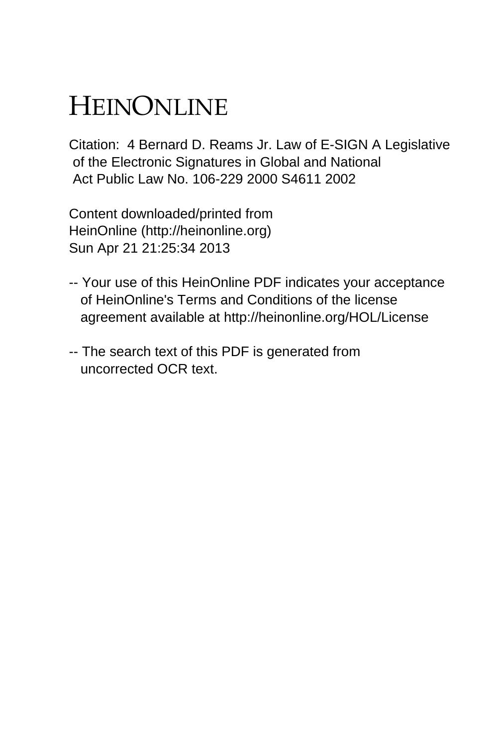# HEINONLINE

Citation: 4 Bernard D. Reams Jr. Law of E-SIGN A Legislative of the Electronic Signatures in Global and National Act Public Law No. 106-229 2000 S4611 2002

Content downloaded/printed from HeinOnline (http://heinonline.org) Sun Apr 21 21:25:34 2013

- -- Your use of this HeinOnline PDF indicates your acceptance of HeinOnline's Terms and Conditions of the license agreement available at http://heinonline.org/HOL/License
- -- The search text of this PDF is generated from uncorrected OCR text.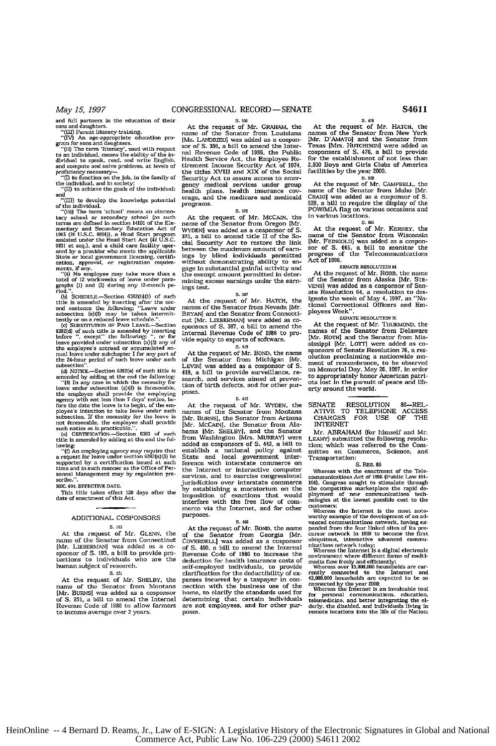and full partners in the education of their<br>sons and daughters.<br>"(III) Perent literacy training.<br>"(IV) An age-appropriate education pro-<br>"(IV) An age-appropriate education pro-<br>"(ii) The term 'literacy', used with respect

and compute the proficiency necessary—<br>
"(i) to function on the job. in the family of<br>
the individual, and in society:<br>
(II) to achieve the goals of the individual;

and **"(I1) to** develop the knowledge potential

of the individual.<br>"(iii) The term 'school' means an elementary school or secondary school (as such terms are defined in section 14101 of the Elementary and Secondary Education Act of **<sup>1965</sup>**(20 U.S.C. **880)),** a Head **Seart** program assisted under the Head Start Act (42 U.S.C.<br>9831 et seq.), and a child care facility operated by a provider who meets the applicable<br>ated by a provider who meets the applicable<br>State or local government licensing, certifi

ments. if any.<br>"(4) No employee may take more than a total of 12 workweeks of leave under para-<br>graphs (1) and (3) during any 12-month pe-<br>riod.".

**(b)** SCEDULE.-Section **6382(b)(1)** of such title is amended **by** inserting after the sec-ond sentence the follosing; "Leave under subseetion (a)(3) may be **taken** intermit-

tently or on a reduced leave schedule."<br>
(c) SUSSTITUITON OF PAID LEAVE.—Section<br>
6332(d) of such title is amended by inserting<br>
before ", except" the following: ", or for<br>
leave provided under subsection (a)(3) any ol<br>
le nual leave under subchapter I for any part of<br>the 24-hour period of such leave under such<br>subsection".

**(d)** NOTICE.-Section **6382(e)** of such *title* is

amended by adding at the *end* the following: **1(3) In** *any* rase **in** which the neeity **for** leave under subsection (a)(3) is foreseeable. the employee shall provide the employing agency with not less than *7* days' notice, be-<br>fore the date the leave is to begin, of the em-<br>ployee's intention to take leave under such subsection. If the necessity for the **leave is** not foreseeable, the employee shall provide

such notice as is practicable."<br>
(e) CERTIFICATION.-Section 6383 of such title is amended by adding at the end the fol-

low**ing:**<br>- ''(f) An employing agency may require that<br>a request for leave under section 6382(a) (3) be supported by a certification issued at such time and in such manner ec the Office of Personel Management **may** by regulation prescribe

**SEC 604. EFFECTIVE DATE**

This title takes effect **129** days after the date of enactment **of** this Act.

# ADDITIONAL COSPONSORS

At the request **of** Mr. GLENN, the name of the Senator from *Connecticut* [Mr. LIEBERMAN] was added as a co-<br>sponsor of S. 193, a bill to provide pro-<br>tections to individuals who are the human subject **of** research.

S. 251<br>At the request of Mr. SHELBY, the name of the Senator from Montana [Mr. BURNS] was added **as** a cosponsor of **S. 251,** a bill to amend the Internal Revenue Code of **198G** to allow farmers to income average over 2 years.

S 356

At the request of Mr. GRAHAM, the name of the Senator from Louisiana [Ms. LANDRIEU] was added as a cospon**sor** of **S. 356,** a bill to amend the Inter-nal Revenue Code of **198,** the Public Health Service Act, the Employee Retirement Income Security Act of 1974, the titles XVIII **and** XIX of the Social Security Act to assure access to emer-gency medical services under group health plans, health insurance coverage, and the medicare *and* medicald programs. **s. <sup>375</sup>**

At the request of Mr. MCCAIN, the name of the Senator from Oregon [Mr. WYDEN] was added as a cosponsor of S.<br>375, a bill to amend title II of the Social Security Act to restore the link between the maximum amount of eam ings by blind individuals permitted without demonstrating ability to engage In substantial gainful activity and the exempt amount permitted in deter-mining **excess** earnings **under** the **earn**ings test.

At the request of Mr. HATCH, the names of the Senator from Nevada [Mr. BRYAN] and the Senator from Connecticut [Mr. LIEBERMAN] were added as co-sponsors of **S. 387,** a bill to amend the Internal Revenue Code of **1986** to pro-vide equity to exports of software.

### *S.* **C19**

At the request of Mr. BOND, the name of the Senator from Michigan [Mr. LEVIN( **was** added **as** a cosponsor of S. 419, a bill to provide surveillance, **re**search, and services aimed at proves-tion of birth defects, and for other put**poses.**

### **s& 442**

At the request of Mr. WYDEN, the names of the Senator from Montana [Mr. BURNS], the Senator from Arizona [Mr. **MCCAIN],** the Senator **from** Alabama [Mr. SHELBY], and the Senator from Washington [Mrs. MURRAY] were added as cosponsors of **S.** 442, a bill to establish a national policy against State **and** local government inter-ference with interstate commerce on the Internet or interactive computer services, **and** to exercise congressional jurisdiction over interstate **commerce** by establishing a moratorium on the imposition of exactions that would interfere with the free flow of commerce via the Internet, and for other purposes.

At the request of Mr. BOND, the name of the Senator from Georgia [Mr. COVRRDELL] was added as a cosponsor of **S.** 410. a bill to amend the Internal Revenue Code of **1986** to increase the deduction for health insurance costs of self-employed individuals, *to* provide clarification for the deductibility **of** *ex-*penses incurred by a taxpayer in con-nection with the business use **of** the home, **to** clarify the standards used for determining that certain individuals **are not** employees, and for other pur**pmses.**

**S. 476** At the request of Mr. **HATCH,** the names of the Senator from New York [Mr. **D'AMATO] and** the Senator from Texas [Mrs. HUfTCHISON] were added **as cosponsors** of **S.** 476. a bill to provide for the establishment of not less than **2,500** Buys **and** Girls Clubs **of** America facilities by the year **2000. .. s.**

At the request of Mr. CAMPBELL, the name of the Senator from Idaho [Mr. CRAIG] was added as a cosponsor of S. **529,** a bill to require the display of the POW/MIA flag on varlous occasions and in various locations.

s. 665<br>At the request of Mr. KERREY, the name of the Senator from Wisconsin [Mr. **FEINGOLD]** was added as a cospon**sor of S. 665, a bill to monitor the**<br>progress of the Telecommunications<br>Act of 1996.<br>SENATE RESOLUTION **N** 

At the request of Mr. ROBB, the name of the Senator from Alaska [Mr. STE-**VENS]** was added as a cosponsor of Senate Resolution 64, a resolution to des-ignate the week of May 4, **1997,** as "National Correctional Officers and Em-*ployees* Week".

At the request of Mr. THURMOND, the<br>names of the Senator from Delaware [Mr. ROTH] **and** the Senator from Mis-**sissippi** [Mr. LoTT] were added as cosponsors of Senate Resolution **76,** a resolution proclaiming a nationwide **mo**ment **of** remembrance, to be observed on Memorial Day. May **26,** 1997, in order to appropriately honor American patriots lost in the pursuit of peace **and ltb**arty around the world.

## **SENATE RESOLUTION** 86-REL-ATIVE TO TELEPHONE ACCESS CHARGES FOR **USE** OF THE INTERNET

Mr. ABRAHAM (for himself and Mr. LEAHY) submitted the following resolu-tion; which was referred to the Committee on Commerce, Science, and Transportation:

## **S.** ReS. **86**

Whereas with the enactment of the Tele-communications Act **of 1996** (Public Law **104-** 104), Congress sought to stimulate through the competitive marketplace the rapid **de-** ployment **of** new communications tech- nologles at the lowest possible cast to the

customers; Whereas the Internet is the most note- worthy example of the development of an advanced communications network, having expanded from the four linked sites of its precursor **network** in **1969** to become the first ubiquitous, interactive advanced commu-

interiors, material electronic metric of the material electronic metric is a digital electronic<br>environment twisted environment where different forms of multi-<br>media flow freely and efficiently;<br>whereas over 15,000,000 hou

rently connected to the Internet and 43,000,000 households am expected to be so connected by *the* year **2000:** Whereas **the** Internet is an invaluable tool

for personal communications, education, telemedicine. and better integrating the el-derly, the disabled, and individuals living In **remonte** locations into the life **of** the Nation:

HeinOnline -- 4 Bernard D. Reams, Jr., Law of E-SIGN: A Legislative History of the Electronic Signatures in Global and National Commerce Act, Public Law No. 106-229 (2000) S4611 2002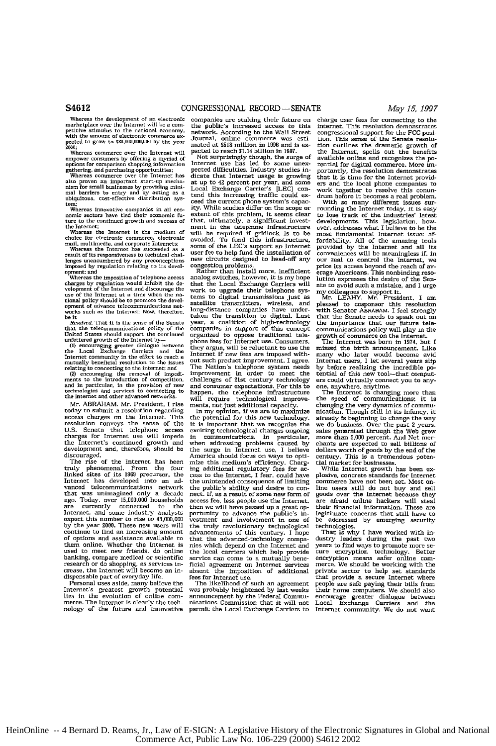Whereas the development of an electronic<br>marketplace over the Internet will be a competitive stimulus to the national economy,<br>with the amount of electronic commerce exthe state constant of electronic commerce ex-<br>pected to grow to \$80,000,000,000 by the year<br>2000;

Whereas commerce over the Internet will empower consumers by offering a myriad of<br>options for comparison shopping information

putions to comparation propulation<br>galactering, and purchasing opportunities:<br>whereas commeres over the Internet has<br>also proven an important start-up mechanism for small businesses by providing mini-<br>mail barriers to entr tem;

tem;<br>Whereas innovative companies in all eco-<br>nomic sectors have tied their economic fu-<br>ture to the continued growth and success of the Internet:

The internet:<br>
Whereas the Internet is the medium of<br>
choice for electronic commerce, electronic<br>
mail, multimedia. and corporate Internets;<br>
Whereas the Internet has succeeded as a

metrical of its responsiveness to technical challenges unencumbered by any preconceptions<br>imposed by regulation relating to its devel-

opment; and<br>Whereas the imposition of telephone access charges by regulation would inhibit the development of the Internet and discourage the verspirate of the Internet at a time when the national policy should be to promote the development of advance telecommunications networks such as the Internet: Now, therefore, be it

solved, That it is the sense of the Senate

Resolved, That it is the sense of the Senate distance that the telecommunications policy of the United States should support the continued (I) encouraging greater dialogue between the the Lost the Lost proper property is

(2) encouraging the removal of impedi-<br>tents to the introduction of competition, ments to the introduction of competition,<br>and in particular, in the provision of new<br>technologies and services to connecting to<br>the internet and other advanced networks.

Mr. ABRAHAM, Mr. President, I rise today to submit a resolution regarding access charges on the Internet. This<br>resolution conveys the sense of the FIGURE TO EXECUTE THE TRANSPORT CONTROL TO THE CHAPTER CONTROL TO THE CONTROL OF THE TRANSPORT OF THE METHOD OF THE METHOD OF THE METHOD OF THE METHOD OF THE METHOD OF THE METHOD OF THE METHOD OF THE METHOD OF THE METHOD O development and, therefore, should be discouraged.

The rise of the Internet has been<br>truly phenomenal. From the four<br>linked sites of its 1969 precursor, the<br>Internet has developed into an ad-<br>vanced telecommunications network that was unimagined only a decade<br>ago. Today, over 15,000,000 households are currently connected to the<br>Internet, and some industry analysts expect this number to rise to 43,000,000<br>by the year 2000. These new users will continue to find an increasing amount of options and assistance available to<br>them online. Whether the Internet is used to meet new friends, do online banking, compare medical or scientific<br>research or do shopping, as services in-<br>crease, the Internet will become an in-<br>dispensable part of everyday life.

assessme part of everyonal uses aside, many believe the<br>Internet's greatest growth potential<br>lies in the evolution of online commerce. The Internet is clearly the tech-<br>nology of the future and innovative

companies are staking their future on the public's increased access to this<br>network. According to the Wall Street Journal, online commerce was estimated at \$518 million in 1996 and is ex-

meted to reach \$1.14 billion in 1999 and 15 expected to reach \$1.14 billion in 1997.<br>Not surprisingly though, the surge of Internet use has led to some unex-<br>pected difficulties. Industry studies indicate that Internet usage is growing at up to 42 percent per year, and some<br>Local Exchange Carrier's [LEC] contend this increasing traffic could exceed the current phone system's capacity. While studies differ on the scope or extent of this problem, it seems clear execution that problems clear that the temple control that the required in the temple<br>ment in the telephone infrastructure will be required if gridlock is to be<br>avoided. To fund this infrastructure, some of the LEC's suppo user fee to help fund the installation of<br>new circuits designed to head-off any congestion problems.<br>Rather than install more, inefficient

analog switches, however, it is my hope<br>that the Local Exchange Carriers will work to upgrade their telephone systems to digital transmissions just as satellite transmitters, wireless, and statute utationities, whereas, and<br>long-distance companies have under-<br>taken the transition of high-technology<br>companies in support of this concept organized to oppose traditional tele-<br>phone fees for Internet use. Consumers, they argue, will be reluctant to use the Internet if new fees are imposed without such product improvement. I agree. our such phone employment. I agree:<br>The Nation's telephone system needs<br>improvement in order to meet the<br>challenges of 21st century technology<br>and consumer expectations. For this to ppen, the telephone infrastructure will require technological improvements, not just additional capacity.<br>In my opinion, if we are to maximize

the potential for this new technology, cia potential for this haw technology,<br>it is important that we recognize the<br>exciting technological changes ongoing<br>in communications. In particular,<br>when addressing problems caused by<br>the strige in Internet use, I believe America should focus on ways to optimize this medium's efficiency. Charging additional regulatory fees for access to the Internet. I fear, could have the unintended consequence of limiting the public's ability and desire to con-<br>nect. If, as a result of some new form of access fee, less people use the Internet,<br>then we will have passed up a great opportunity to advance the public's in-<br>vestment and involvement in one of the truly revolutionary technological advancements of this century. I hope<br>that the advanced-technology companies which depend on the Internet and the local carriers which help provide service can come to a mutually bene-<br>ficial agreement on Internet services the imposition of additional absent fees for Internet use.

The likelihood of such an agreement was probably heightened by last weeks<br>announcement by the Federal Communications Commission that it will not<br>permit the Local Exchange Carriers to charge user fees for connecting to the internet. This resolution demonstrates<br>congressional support for the FCC posicongressional support for the Senate resolution. This sense of the Senate resolution outlines the dramatic growth of the Internet, spells out the benefits available online and recognizes the potential for digital commerce. More importantly, the resolution demonstrates that it is time for the Internet providers and the local phone companies to work together to resolve this conun-<br>drum before it becomes a real problem.<br>With so many different issues sur-

ounding the Internet today, it is easy to lose track of the industries' latest<br>developments. This legislation, however, addresses what I believe to be the most fundamental Internet issue: affordability. All of the amazing tools<br>provided by the Internet and all its conveniences will be meaningless if, in conventions on the offering term of the internet, we<br>price its access beyond the reach of average Americans. This nonbinding resolved<br>lution expresses the desire of the Senate to avoid such a mistake, and I urge

and colleagues to support it.<br>
Mr. LEAHY. Mr. President, I am<br>
pleased to cosponsor this resolution<br>
with Senator ABRAHAM. I feel strongly that the Senate needs to speak out on<br>the importance that our future telecommunications policy will play in the<br>growth of commerce on the Internet.

The Internet was born in 1974, but I<br>missed the birth announcement. Like many who later would become avid<br>Internet users, I let several years slip by before realizing the incredible po-<br>tential of this new tool---that computers could virtually connect you to anyone, anywhere, anytime.<br>The Internet is changing more than

the speed of communications; it is changing the very dynamics of commuchanging use very syncomore to communicate including the mass and business. Over the past 2 years, such sales generated through the Web grew more than 5,000 percent. And Net mer-<br>where the syncology and select the syncome chants are expected to sell billions of<br>dollars worth of goods by the end of the century. This is a tremendous poten-<br>tial market for businesses.

While Internet growth has been ex-<br>plosive, concrete standards for Internet commerce have not been set. Most on-Dime users still do not buy and sell<br>goods over the Internet because they<br>are afraid online hackers will steal<br>their financial information. These are legitimate concerns that still have to<br>be addressed by emerging and addressed by emerging addressed by emerging security technologies.

That is why I have worked with industry leaders during the past two years to find ways to promote more se-<br>cure encryption technology. Better means safer online comencryption merce, We should be working with the private sector to help set standards<br>that provide a secure Internet where chat provide a secure inferner where the<br>people are safe paying their bills from<br>their home computers. We should also<br>encourage greater dialogue between<br>Local Exchange Carriers and the<br>Internet community. We do not want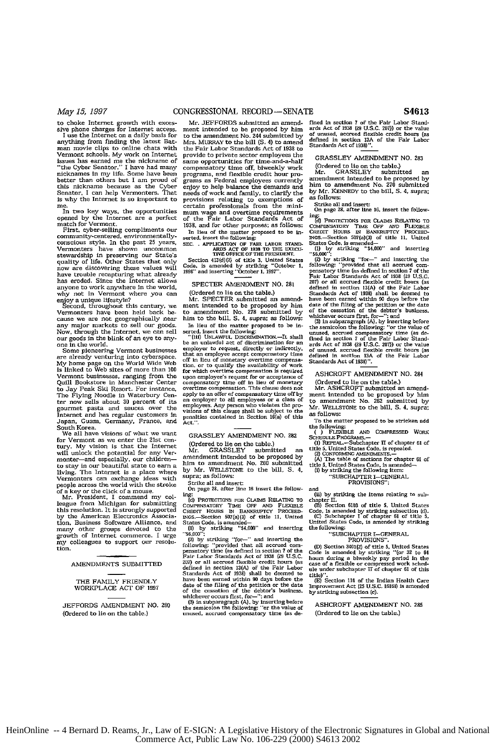to choke Internet growth with excs- Mr. JEFFORDS submitted an amend- fined in section **7** or the Fair Labor Stand-

**mything from finding the latest Bat-Mrs. MURRAY to the bill (S. 4) to amend<br>man movie clips to online chats with the Fair Labor Standards Act of 1938 to<br>Vermont schools. My work on Internet provide to private sector emplo** man movie clips to online chats with the Fair Labor Standards Act of 1938 to Standards Act of 1938.<br>Vermont schools. My work on Internet provide to private sector employees the GRASSLEY AMENDMENT NO. 283<br>Issues has earned nicknames In my life. Some have been programs, and flexible credit hour pro-<br>incknames In my life. Some have been programs, and flexible credit hour pro- Mr. GRASSLEY submitted and<br>better than others but I am proud of gram

conscious style. In the past **25** years, **SEC. . APPLICATION** OF FAIR **LABOR STAND-** States Code. is anended-Vermonters have shoswn uncommon **ARDS ACT OF 193s** TO **T1HE CU- (1) by** striking "\$4.000" and inserting stewardship in preserving our State's TWE OFFICE OF THE PRESIDENT. "\$6,000"

Japan, Guam, Germany, France, and Pactivis contained in section relation of the matter proposed to be stricken add We all have visions of what we want<br>
Social Korea (CRASSLEY AMENDMENT NO. 282 SCHED PACK AND COMPRESSED WO monter—a<mark>n</mark><br>to stay in c The two term is the series of a state of a state of a state of a state of a state of a state of a state of a state of a state of a state of a state of a state of a state of a state of a state of a state of a state of a sta

of a key or the CIRC of a mouse,<br>  $\frac{1}{100}$  by striking the items relating to sub-<br>  $\frac{1}{100}$  by striking columns of the control of the sequence of the set and the league from Michigan for submitting columns of the CI

sive phone charges for Internet access. ment intended to be proposed by him ards Act of 1938 (29 U.S.C. 207)) or the value<br>I use the Internet on a daily basis for to the amendment No. 244 submitted by of unused, accrued fl anything from finding the latest Bat- Mrs. MURRAY to the bill *(S.* 4) to anend defined in section **13A** of the Fair Labor issues has earned me **the** nickname of same opportunities for time-and-a-half 'the Cyber Senator." I have **had** many compensatory time off, biweekly work (Ordered to lie on the table.) nstationally an others but I am proud of grams as Federal employees currently amendment intended to be proposed by<br>this nickname because as the Cyber enjoy to help balance the demands and him to amendment No. 270 submittee is why the Internet is so important to provisions relating to exemptions of as follows:<br>me. certain professionals from the mini- Strike all and insert:<br>In two key ways, the opportunities mum wage and overtime requirements opened by the Internet are a perfect of the Fair Labor Standards Act of<br>match for Vermont.<br>First, cyber-selling compliments our and for other purposes; as follows: COMPENSATORY TIME OFF AND FLEXIBLE<br>First, cyber-selling co

enjoy a unique lifestyle? Mr. SPECTER submitted an amendment weak becond, throughout this century, we ment intended to be proposed by him Vermonters have been held back be- to amendment No. 278 submitted by cause we are no

our goods in the blink of an eye to any the an unlawful act of discrimination for an one in the world. The an unlawful act of discrimination for an one in the world. Some ploneering Vermont businesses employer to request, Some pioneering Vermont businesses suppose accept compensatory time defined in section 13A of the Fair Lab<br>My home page on the World Wide Web tion, or to qualify the excitation suppose. Standards Act of 1939)".<br>In like of Vermont businesses, ranging from the **upon** employee's request for or acceptance **of** ASHCROFT **AMENDMENT NO. 284** Quill Bookstore in Manchester Center compensatory time off in lieu of monetary (Ordered to lie on the table.)<br>to Jay Peak Ski Resort. For instance, overtime compensation. This clause does not Mr. ASHCROFT submitted an amen The Flying Noodle in Waterbury Cen-<br>
apply to an offer of compensatory time off by ment intended to be proposed by him<br>
ter now sells about 30 percent of its emenopyer to all employees or a class of to amendment No. 262 su

amendment intended to be proposed by<br>him to amendment No. 260 submitted<br>by Mr. WELLSTONE to the bill, S. 4,<br>supra; as follows:

g bound or measure commuter of the section of the section of the section of the section of the section of the section of the section of the section of the section of the section of the section of the section of the section THE FAMILY FRIENDLY<br>
THE GRAFING SCHOOL AND STANDARY CONSIDENTS SUBMITTED<br>
Fair Labor Standards Act of 1938 (29 U.S.C. hours during a blweekly pay period in the<br>
2070 or all accrossible credit hours (as case of a flexible THE FAMILY FRIENDLY<br>
where been samely with 90 days before the "(E) Section 115 of the Indian Health Care<br>
WORKPLACE ACT OF 1997 date of the filing of the petition or the date "(E) Section 115 of the intervent Act (25 U.S

stewartship in preserving our Success and 13(0)(2) of title 3, United States (2) by striking "for-" and inserting the quality of life. Other States that only as ended by striking "October 1, following: "provided that all e

verification and other bill, S. 4, superation of an and consense we are not geographically near him to the bill, S. 4, supera as follows: (3) in subparagraph (A), by inserting before any major markets to sell our goods. In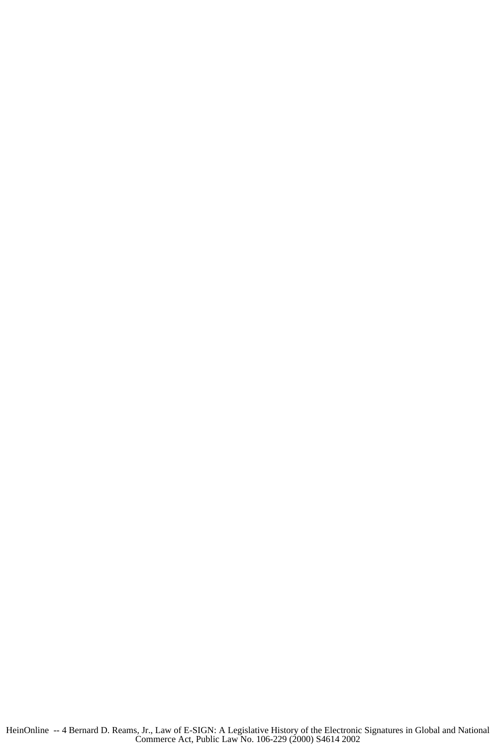HeinOnline -- 4 Bernard D. Reams, Jr., Law of E-SIGN: A Legislative History of the Electronic Signatures in Global and National Commerce Act, Public Law No. 106-229 (2000) S4614 2002